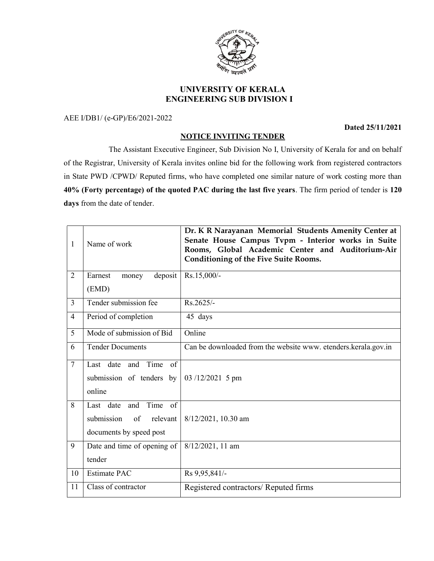## **ERSITY OF KEA**

## UNIVERSITY OF KERALA ENGINEERING SUB DIVISION I

AEE I/DB1/ (e-GP)/E6/2021-2022

Dated 25/11/2021

## NOTICE INVITING TENDER

 The Assistant Executive Engineer, Sub Division No I, University of Kerala for and on behalf of the Registrar, University of Kerala invites online bid for the following work from registered contractors in State PWD /CPWD/ Reputed firms, who have completed one similar nature of work costing more than 40% (Forty percentage) of the quoted PAC during the last five years. The firm period of tender is 120 days from the date of tender.

| $\mathbf{1}$   | Name of work                                                                                | Dr. K R Narayanan Memorial Students Amenity Center at<br>Senate House Campus Tvpm - Interior works in Suite<br>Rooms, Global Academic Center and Auditorium-Air<br><b>Conditioning of the Five Suite Rooms.</b> |
|----------------|---------------------------------------------------------------------------------------------|-----------------------------------------------------------------------------------------------------------------------------------------------------------------------------------------------------------------|
| $\overline{2}$ | deposit<br>Earnest<br>money                                                                 | Rs.15,000/-                                                                                                                                                                                                     |
|                | (EMD)                                                                                       |                                                                                                                                                                                                                 |
| $\overline{3}$ | Tender submission fee                                                                       | Rs.2625/-                                                                                                                                                                                                       |
| $\overline{4}$ | Period of completion                                                                        | 45 days                                                                                                                                                                                                         |
| 5              | Mode of submission of Bid                                                                   | Online                                                                                                                                                                                                          |
| 6              | <b>Tender Documents</b>                                                                     | Can be downloaded from the website www. etenders.kerala.gov.in                                                                                                                                                  |
| $\overline{7}$ | Last date and Time<br>of<br>submission of tenders by<br>online                              | $03/12/2021$ 5 pm                                                                                                                                                                                               |
| 8              | Time<br>Last date and<br>$\circ$ of<br>submission<br>of relevant<br>documents by speed post | 8/12/2021, 10.30 am                                                                                                                                                                                             |
| 9              | Date and time of opening of<br>tender                                                       | 8/12/2021, 11 am                                                                                                                                                                                                |
| 10             | <b>Estimate PAC</b>                                                                         | Rs 9,95,841/-                                                                                                                                                                                                   |
| 11             | Class of contractor                                                                         | Registered contractors/ Reputed firms                                                                                                                                                                           |